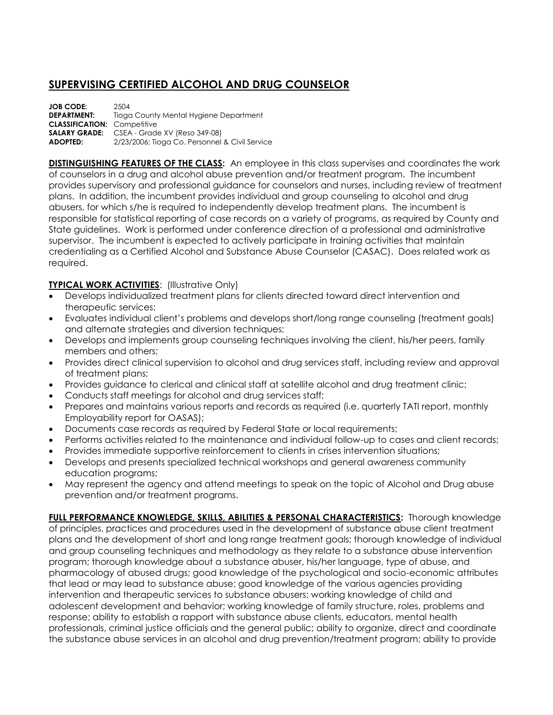# **SUPERVISING CERTIFIED ALCOHOL AND DRUG COUNSELOR**

**JOB CODE:** 2504<br>**DEPARTMENT:** Tiogo **Tioga County Mental Hygiene Department CLASSIFICATION:** Competitive **SALARY GRADE:** CSEA - Grade XV (Reso 349-08) **ADOPTED:** 2/23/2006; Tioga Co. Personnel & Civil Service

**DISTINGUISHING FEATURES OF THE CLASS:** An employee in this class supervises and coordinates the work of counselors in a drug and alcohol abuse prevention and/or treatment program. The incumbent provides supervisory and professional guidance for counselors and nurses, including review of treatment plans. In addition, the incumbent provides individual and group counseling to alcohol and drug abusers, for which s/he is required to independently develop treatment plans. The incumbent is responsible for statistical reporting of case records on a variety of programs, as required by County and State guidelines. Work is performed under conference direction of a professional and administrative supervisor. The incumbent is expected to actively participate in training activities that maintain credentialing as a Certified Alcohol and Substance Abuse Counselor (CASAC). Does related work as required.

## **TYPICAL WORK ACTIVITIES**: (Illustrative Only)

- Develops individualized treatment plans for clients directed toward direct intervention and therapeutic services;
- Evaluates individual client's problems and develops short/long range counseling (treatment goals) and alternate strategies and diversion techniques;
- Develops and implements group counseling techniques involving the client, his/her peers, family members and others;
- Provides direct clinical supervision to alcohol and drug services staff, including review and approval of treatment plans;
- Provides guidance to clerical and clinical staff at satellite alcohol and drug treatment clinic;
- Conducts staff meetings for alcohol and drug services staff;
- Prepares and maintains various reports and records as required (i.e. quarterly TATI report, monthly Employability report for OASAS);
- Documents case records as required by Federal State or local requirements;
- Performs activities related to the maintenance and individual follow-up to cases and client records;
- Provides immediate supportive reinforcement to clients in crises intervention situations;
- Develops and presents specialized technical workshops and general awareness community education programs;
- May represent the agency and attend meetings to speak on the topic of Alcohol and Drug abuse prevention and/or treatment programs.

**FULL PERFORMANCE KNOWLEDGE, SKILLS, ABILITIES & PERSONAL CHARACTERISTICS:** Thorough knowledge of principles, practices and procedures used in the development of substance abuse client treatment plans and the development of short and long range treatment goals; thorough knowledge of individual and group counseling techniques and methodology as they relate to a substance abuse intervention program; thorough knowledge about a substance abuser, his/her language, type of abuse, and pharmacology of abused drugs; good knowledge of the psychological and socio-economic attributes that lead or may lead to substance abuse; good knowledge of the various agencies providing intervention and therapeutic services to substance abusers; working knowledge of child and adolescent development and behavior; working knowledge of family structure, roles, problems and response; ability to establish a rapport with substance abuse clients, educators, mental health professionals, criminal justice officials and the general public; ability to organize, direct and coordinate the substance abuse services in an alcohol and drug prevention/treatment program; ability to provide